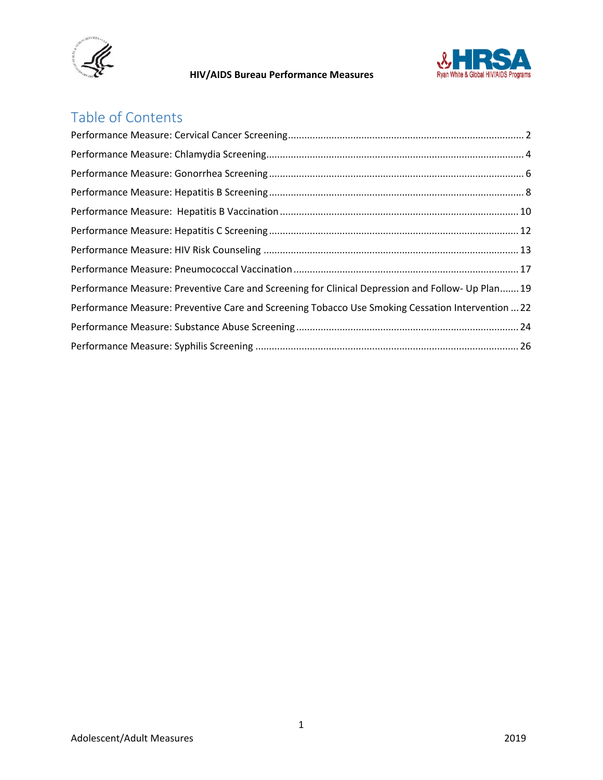



# Table of Contents

| Performance Measure: Preventive Care and Screening for Clinical Depression and Follow- Up Plan19  |  |
|---------------------------------------------------------------------------------------------------|--|
| Performance Measure: Preventive Care and Screening Tobacco Use Smoking Cessation Intervention  22 |  |
|                                                                                                   |  |
|                                                                                                   |  |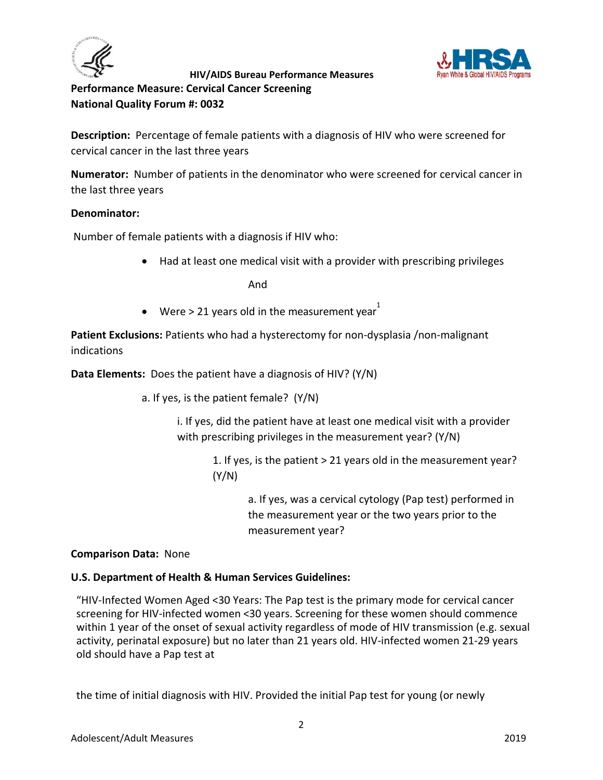



<span id="page-1-0"></span>**Performance Measure: Cervical Cancer Screening National Quality Forum #: 0032**

**Description:** Percentage of female patients with a diagnosis of HIV who were screened for cervical cancer in the last three years

**Numerator:** Number of patients in the denominator who were screened for cervical cancer in the last three years

## **Denominator:**

Number of female patients with a diagnosis if HIV who:

• Had at least one medical visit with a provider with prescribing privileges

And

• Were > 21 years old in the measurement year  $1$ 

**Patient Exclusions:** Patients who had a hysterectomy for non-dysplasia /non-malignant indications

**Data Elements:** Does the patient have a diagnosis of HIV? (Y/N)

a. If yes, is the patient female? (Y/N)

i. If yes, did the patient have at least one medical visit with a provider with prescribing privileges in the measurement year? (Y/N)

> 1. If yes, is the patient > 21 years old in the measurement year? (Y/N)

> > a. If yes, was a cervical cytology (Pap test) performed in the measurement year or the two years prior to the measurement year?

#### **Comparison Data:** None

#### **U.S. Department of Health & Human Services Guidelines:**

"HIV-Infected Women Aged <30 Years: The Pap test is the primary mode for cervical cancer screening for HIV-infected women <30 years. Screening for these women should commence within 1 year of the onset of sexual activity regardless of mode of HIV transmission (e.g. sexual activity, perinatal exposure) but no later than 21 years old. HIV-infected women 21-29 years old should have a Pap test at

the time of initial diagnosis with HIV. Provided the initial Pap test for young (or newly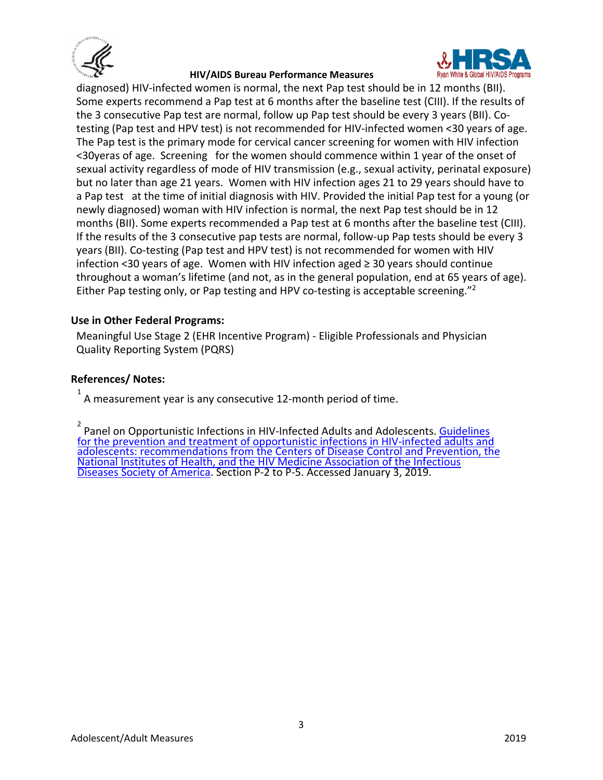



diagnosed) HIV-infected women is normal, the next Pap test should be in 12 months (BII). Some experts recommend a Pap test at 6 months after the baseline test (CIII). If the results of the 3 consecutive Pap test are normal, follow up Pap test should be every 3 years (BII). Cotesting (Pap test and HPV test) is not recommended for HIV-infected women <30 years of age. The Pap test is the primary mode for cervical cancer screening for women with HIV infection <30yeras of age. Screening for the women should commence within 1 year of the onset of sexual activity regardless of mode of HIV transmission (e.g., sexual activity, perinatal exposure) but no later than age 21 years. Women with HIV infection ages 21 to 29 years should have to a Pap test at the time of initial diagnosis with HIV. Provided the initial Pap test for a young (or newly diagnosed) woman with HIV infection is normal, the next Pap test should be in 12 months (BII). Some experts recommended a Pap test at 6 months after the baseline test (CIII). If the results of the 3 consecutive pap tests are normal, follow-up Pap tests should be every 3 years (BII). Co-testing (Pap test and HPV test) is not recommended for women with HIV infection <30 years of age. Women with HIV infection aged ≥ 30 years should continue throughout a woman's lifetime (and not, as in the general population, end at 65 years of age). Either Pap testing only, or Pap testing and HPV co-testing is acceptable screening."2

#### **Use in Other Federal Programs:**

Meaningful Use Stage 2 (EHR Incentive Program) - Eligible Professionals and Physician Quality Reporting System (PQRS)

#### **References/ Notes:**

1 A measurement year is any consecutive 12-month period of time.

2 Panel on Opportunistic Infections in HIV-Infected Adults and Adolescents. [Guidelines](https://aidsinfo.nih.gov/contentfiles/lvguidelines/adult_oi.pdf)  [for the prevention and treatment of opportunistic infections in HIV-infected adults and](https://aidsinfo.nih.gov/contentfiles/lvguidelines/adult_oi.pdf)  [adolescents: recommendations from the Centers of Disease Control and Prevention, the](https://aidsinfo.nih.gov/contentfiles/lvguidelines/adult_oi.pdf)  [National Institutes of Health, and the HIV Medicine Association of the Infectious](https://aidsinfo.nih.gov/contentfiles/lvguidelines/adult_oi.pdf)  [Diseases Society of America.](https://aidsinfo.nih.gov/contentfiles/lvguidelines/adult_oi.pdf) Section P-2 to P-5. Accessed January 3, 2019.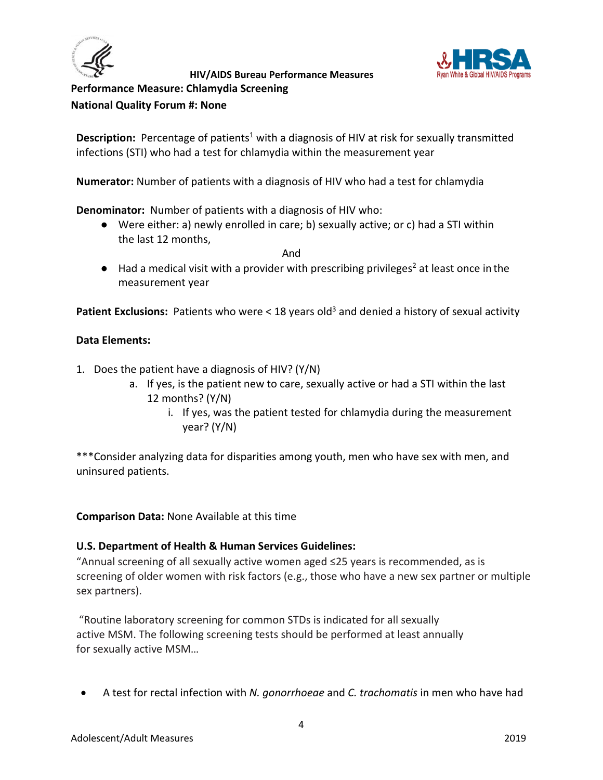



<span id="page-3-0"></span>**Performance Measure: Chlamydia Screening**

**National Quality Forum #: None**

**Description:** Percentage of patients<sup>1</sup> with a diagnosis of HIV at risk for sexually transmitted infections (STI) who had a test for chlamydia within the measurement year

**Numerator:** Number of patients with a diagnosis of HIV who had a test for chlamydia

**Denominator:** Number of patients with a diagnosis of HIV who:

● Were either: a) newly enrolled in care; b) sexually active; or c) had a STI within the last 12 months,

**And And And** 

 $\bullet$  Had a medical visit with a provider with prescribing privileges<sup>2</sup> at least once in the measurement year

**Patient Exclusions:** Patients who were < 18 years old<sup>3</sup> and denied a history of sexual activity

## **Data Elements:**

- 1. Does the patient have a diagnosis of HIV? (Y/N)
	- a. If yes, is the patient new to care, sexually active or had a STI within the last 12 months? (Y/N)
		- i. If yes, was the patient tested for chlamydia during the measurement year? (Y/N)

\*\*\*Consider analyzing data for disparities among youth, men who have sex with men, and uninsured patients.

**Comparison Data:** None Available at this time

## **U.S. Department of Health & Human Services Guidelines:**

"Annual screening of all sexually active women aged ≤25 years is recommended, as is screening of older women with risk factors (e.g., those who have a new sex partner or multiple sex partners).

"Routine laboratory screening for common STDs is indicated for all sexually active MSM. The following screening tests should be performed at least annually for sexually active MSM…

• A test for rectal infection with *N. gonorrhoeae* and *C. trachomatis* in men who have had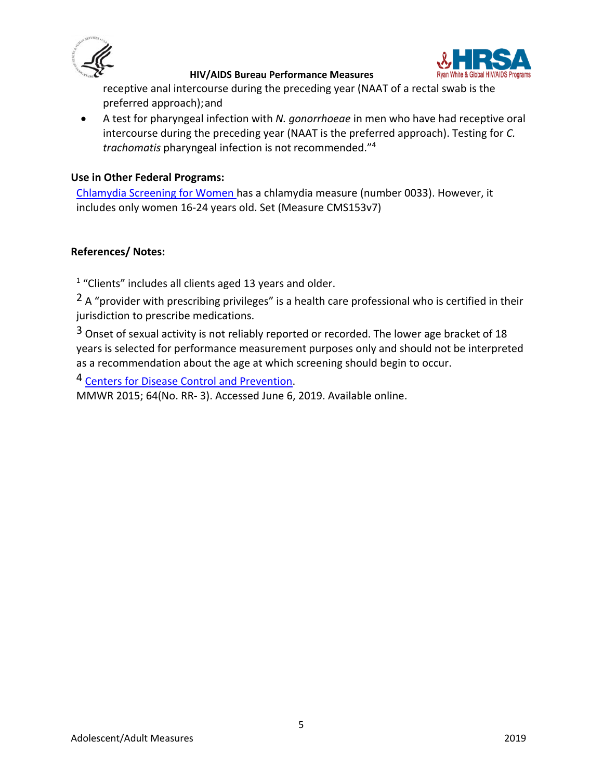



receptive anal intercourse during the preceding year (NAAT of a rectal swab is the preferred approach);and

• A test for pharyngeal infection with *N. gonorrhoeae* in men who have had receptive oral intercourse during the preceding year (NAAT is the preferred approach). Testing for *C. trachomatis* pharyngeal infection is not recommended."4

#### **Use in Other Federal Programs:**

[Chlamydia Screening for Women](https://ecqi.healthit.gov/ecqm/measures/cms153v7) has a chlamydia measure (number 0033). However, it includes only women 16-24 years old. Set (Measure CMS153v7)

## **References/ Notes:**

<sup>1</sup> "Clients" includes all clients aged 13 years and older.

 $2A$  "provider with prescribing privileges" is a health care professional who is certified in their jurisdiction to prescribe medications.

<sup>3</sup> Onset of sexual activity is not reliably reported or recorded. The lower age bracket of 18 years is selected for performance measurement purposes only and should not be interpreted as a recommendation about the age at which screening should begin to occur.

4 [Centers for Disease Control and Prevention.](https://www.cdc.gov/std/tg2015/)

MMWR 2015; 64(No. RR- 3). Accessed June 6, 2019. Available online.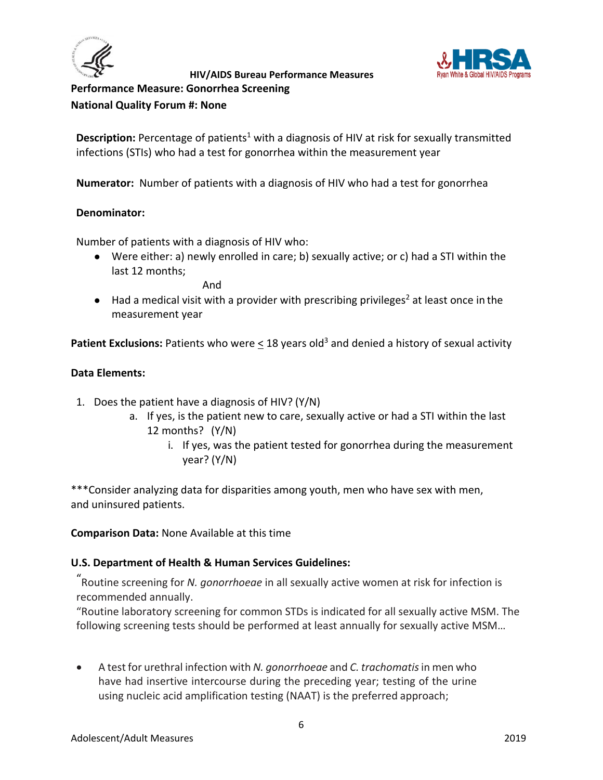



## <span id="page-5-0"></span>**Performance Measure: Gonorrhea Screening National Quality Forum #: None**

**Description:** Percentage of patients<sup>1</sup> with a diagnosis of HIV at risk for sexually transmitted infections (STIs) who had a test for gonorrhea within the measurement year

**Numerator:** Number of patients with a diagnosis of HIV who had a test for gonorrhea

## **Denominator:**

Number of patients with a diagnosis of HIV who:

● Were either: a) newly enrolled in care; b) sexually active; or c) had a STI within the last 12 months;

And

 $\bullet$  Had a medical visit with a provider with prescribing privileges<sup>2</sup> at least once in the measurement year

**Patient Exclusions:** Patients who were  $\leq$  18 years old<sup>3</sup> and denied a history of sexual activity

## **Data Elements:**

- 1. Does the patient have a diagnosis of HIV? (Y/N)
	- a. If yes, is the patient new to care, sexually active or had a STI within the last 12 months? (Y/N)
		- i. If yes, was the patient tested for gonorrhea during the measurement year? (Y/N)

\*\*\*Consider analyzing data for disparities among youth, men who have sex with men, and uninsured patients.

**Comparison Data:** None Available at this time

## **U.S. Department of Health & Human Services Guidelines:**

"Routine screening for *N. gonorrhoeae* in all sexually active women at risk for infection is recommended annually.

"Routine laboratory screening for common STDs is indicated for all sexually active MSM. The following screening tests should be performed at least annually for sexually active MSM…

• A test for urethral infection with *N. gonorrhoeae* and *C. trachomatis* in men who have had insertive intercourse during the preceding year; testing of the urine using nucleic acid amplification testing (NAAT) is the preferred approach;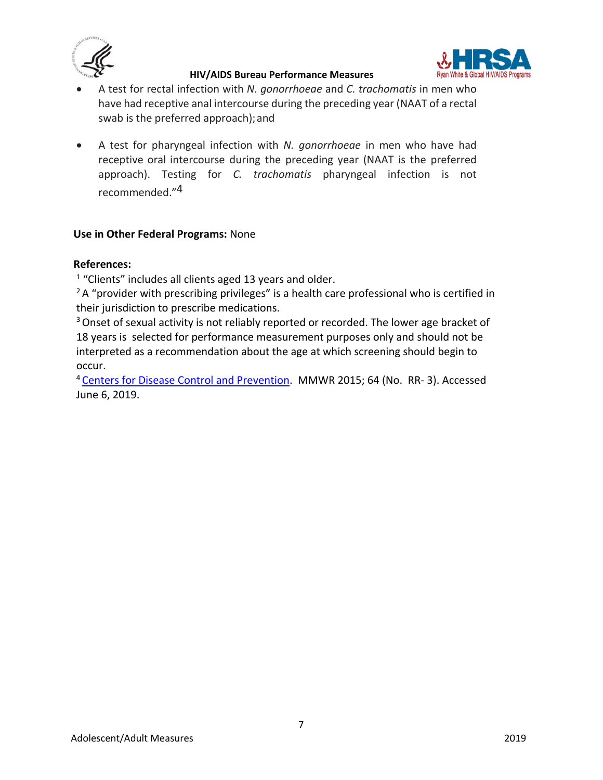



- A test for rectal infection with *N. gonorrhoeae* and *C. trachomatis* in men who have had receptive anal intercourse during the preceding year (NAAT of a rectal swab is the preferred approach);and
- A test for pharyngeal infection with *N. gonorrhoeae* in men who have had receptive oral intercourse during the preceding year (NAAT is the preferred approach). Testing for *C. trachomatis* pharyngeal infection is not recommended."4

## **Use in Other Federal Programs:** None

## **References:**

 $1$  "Clients" includes all clients aged 13 years and older.

 $2A$  "provider with prescribing privileges" is a health care professional who is certified in their jurisdiction to prescribe medications.

<sup>3</sup> Onset of sexual activity is not reliably reported or recorded. The lower age bracket of 18 years is selected for performance measurement purposes only and should not be interpreted as a recommendation about the age at which screening should begin to occur.<br><sup>4</sup> Centers for Disease Control and Prevention. MMWR 2015; 64 (No. RR- 3). Accessed

June 6, 2019.

7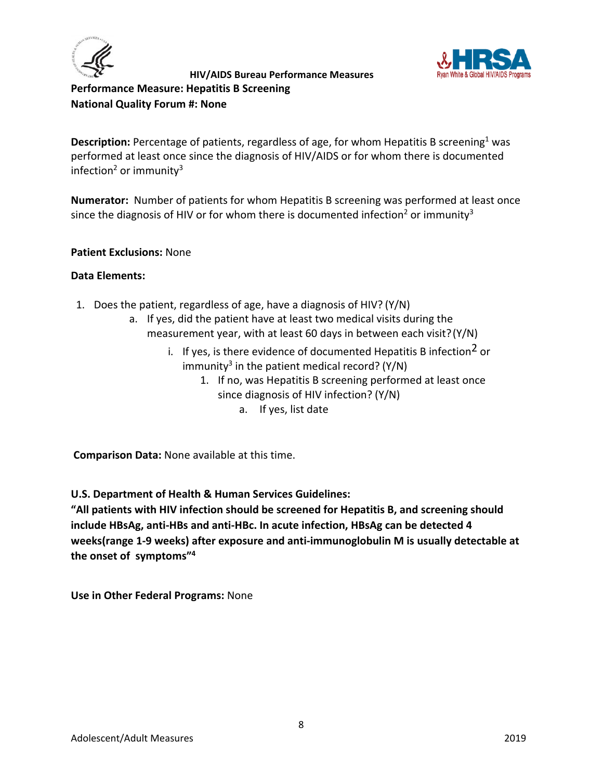



<span id="page-7-0"></span>**Performance Measure: Hepatitis B Screening National Quality Forum #: None**

**Description:** Percentage of patients, regardless of age, for whom Hepatitis B screening<sup>1</sup> was performed at least once since the diagnosis of HIV/AIDS or for whom there is documented infection<sup>2</sup> or immunity<sup>3</sup>

**Numerator:** Number of patients for whom Hepatitis B screening was performed at least once since the diagnosis of HIV or for whom there is documented infection<sup>2</sup> or immunity<sup>3</sup>

#### **Patient Exclusions:** None

#### **Data Elements:**

- 1. Does the patient, regardless of age, have a diagnosis of HIV? (Y/N)
	- a. If yes, did the patient have at least two medical visits during the measurement year, with at least 60 days in between each visit?(Y/N)
		- i. If yes, is there evidence of documented Hepatitis B infection<sup>2</sup> or immunity<sup>3</sup> in the patient medical record? ( $Y/N$ )
			- 1. If no, was Hepatitis B screening performed at least once since diagnosis of HIV infection? (Y/N) a. If yes, list date

**Comparison Data:** None available at this time.

**U.S. Department of Health & Human Services Guidelines:** 

**"All patients with HIV infection should be screened for Hepatitis B, and screening should include HBsAg, anti-HBs and anti-HBc. In acute infection, HBsAg can be detected 4 weeks(range 1-9 weeks) after exposure and anti-immunoglobulin M is usually detectable at the onset of symptoms"4**

**Use in Other Federal Programs:** None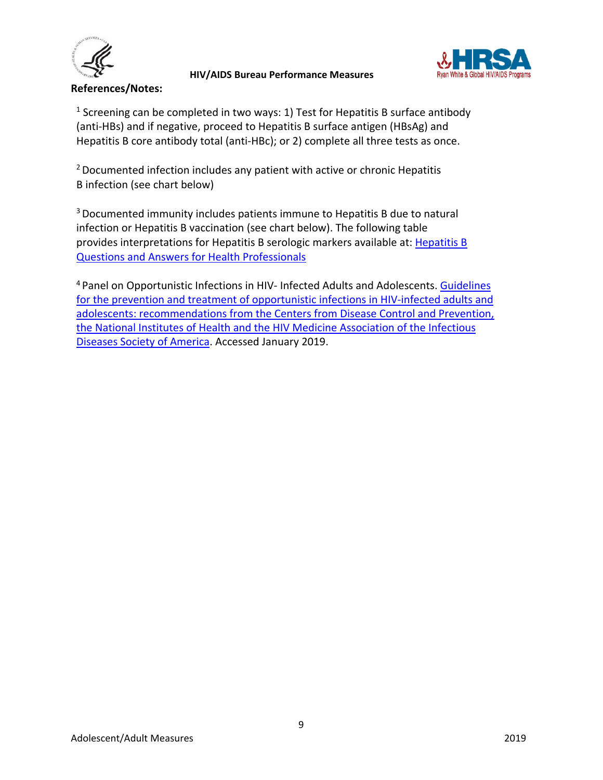

**References/Notes:** 

 **HIV/AIDS Bureau Performance Measures** 



 $1$  Screening can be completed in two ways: 1) Test for Hepatitis B surface antibody (anti-HBs) and if negative, proceed to Hepatitis B surface antigen (HBsAg) and Hepatitis B core antibody total (anti-HBc); or 2) complete all three tests as once.

 $2$  Documented infection includes any patient with active or chronic Hepatitis B infection (see chart below)

3 Documented immunity includes patients immune to Hepatitis B due to natural infection or Hepatitis B vaccination (see chart below). The following table provides interpretations for Hepatitis B serologic markers available at: [Hepatitis B](https://www.cdc.gov/hepatitis/HBV/HBVfaq.htm)  [Questions and Answers for Health Professionals](https://www.cdc.gov/hepatitis/HBV/HBVfaq.htm)

<sup>4</sup> Panel on Opportunistic Infections in HIV- Infected Adults and Adolescents. Guidelines [for the prevention and treatment of opportunistic infections in HIV-infected adults and](https://aidsinfo.nih.gov/contentfiles/lvguidelines/adult_oi.pdf)  [adolescents: recommendations from the Centers from Disease Control](https://aidsinfo.nih.gov/contentfiles/lvguidelines/adult_oi.pdf) and Prevention, [the National Institutes of Health and the HIV Medicine Association of the Infectious](https://aidsinfo.nih.gov/contentfiles/lvguidelines/adult_oi.pdf)  [Diseases Society of America](https://aidsinfo.nih.gov/contentfiles/lvguidelines/adult_oi.pdf) . Accessed January 2019.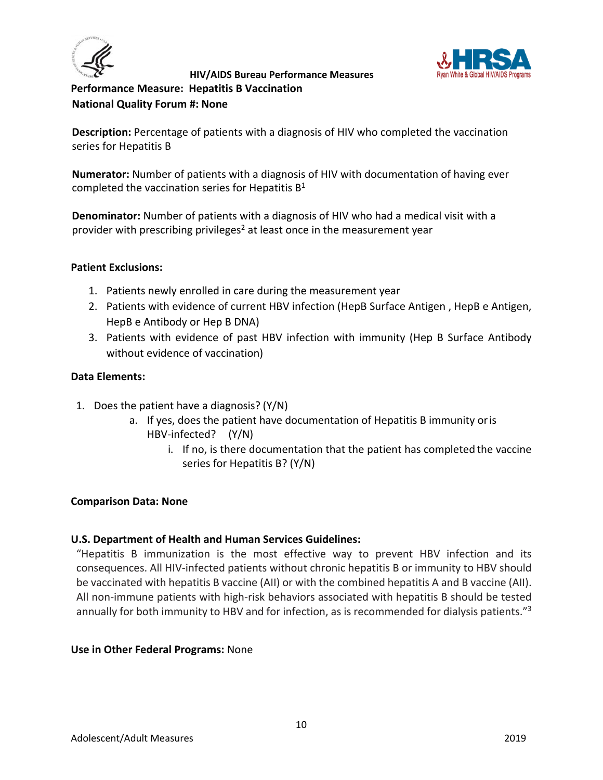



<span id="page-9-0"></span>**Performance Measure: Hepatitis B Vaccination National Quality Forum #: None**

**Description:** Percentage of patients with a diagnosis of HIV who completed the vaccination series for Hepatitis B

**Numerator:** Number of patients with a diagnosis of HIV with documentation of having ever completed the vaccination series for Hepatitis  $B<sup>1</sup>$ 

**Denominator:** Number of patients with a diagnosis of HIV who had a medical visit with a provider with prescribing privileges<sup>2</sup> at least once in the measurement year

#### **Patient Exclusions:**

- 1. Patients newly enrolled in care during the measurement year
- 2. Patients with evidence of current HBV infection (HepB Surface Antigen , HepB e Antigen, HepB e Antibody or Hep B DNA)
- 3. Patients with evidence of past HBV infection with immunity (Hep B Surface Antibody without evidence of vaccination)

## **Data Elements:**

- 1. Does the patient have a diagnosis? (Y/N)
	- a. If yes, does the patient have documentation of Hepatitis B immunity oris HBV-infected? (Y/N)
		- i. If no, is there documentation that the patient has completed the vaccine series for Hepatitis B? (Y/N)

#### **Comparison Data: None**

## **U.S. Department of Health and Human Services Guidelines:**

"Hepatitis B immunization is the most effective way to prevent HBV infection and its consequences. All HIV-infected patients without chronic hepatitis B or immunity to HBV should be vaccinated with hepatitis B vaccine (AII) or with the combined hepatitis A and B vaccine (AII). All non-immune patients with high-risk behaviors associated with hepatitis B should be tested annually for both immunity to HBV and for infection, as is recommended for dialysis patients."<sup>3</sup>

#### **Use in Other Federal Programs:** None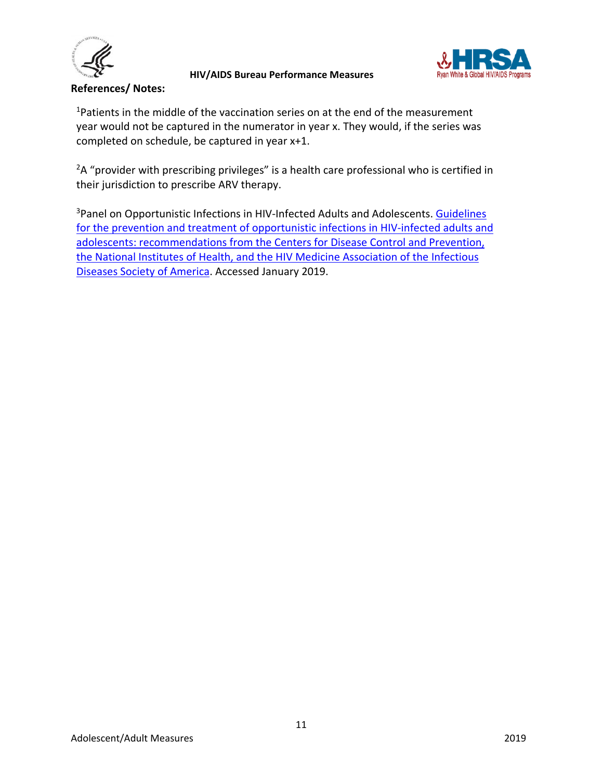



#### **References/ Notes:**

<sup>1</sup>Patients in the middle of the vaccination series on at the end of the measurement year would not be captured in the numerator in year x. They would, if the series was completed on schedule, be captured in year x+1.

<sup>2</sup>A "provider with prescribing privileges" is a health care professional who is certified in their jurisdiction to prescribe ARV therapy.

<sup>3</sup>Panel on Opportunistic Infections in HIV-Infected Adults and Adolescents. Guidelines [for the prevention and treatment of opportunistic infections in HIV-infected adults and](https://aidsinfo.nih.gov/contentfiles/lvguidelines/adult_oi.pdf)  [adolescents: recommendations from the Centers for Disease Control and Prevention,](https://aidsinfo.nih.gov/contentfiles/lvguidelines/adult_oi.pdf)  [the National Institutes of Health, and the HIV Medicine Association of the Infectious](https://aidsinfo.nih.gov/contentfiles/lvguidelines/adult_oi.pdf)  [Diseases Society of America.](https://aidsinfo.nih.gov/contentfiles/lvguidelines/adult_oi.pdf) Accessed January 2019.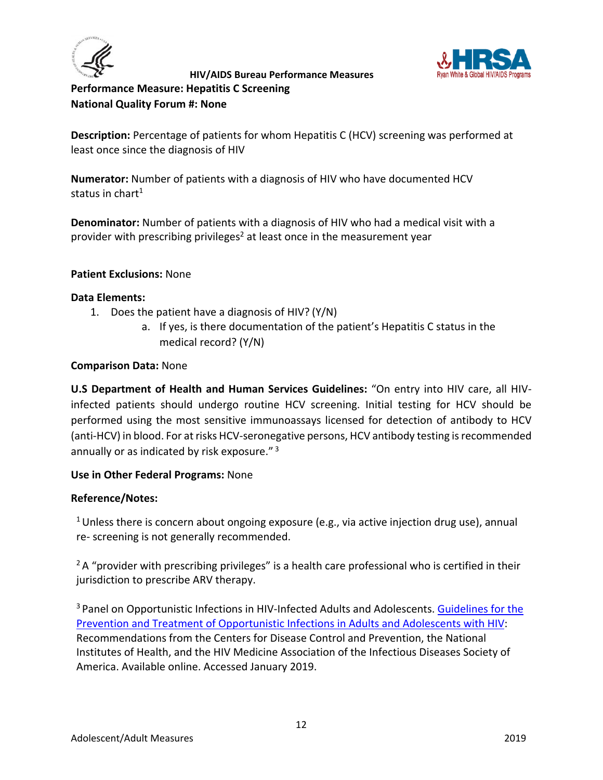



<span id="page-11-0"></span>**Performance Measure: Hepatitis C Screening National Quality Forum #: None**

**Description:** Percentage of patients for whom Hepatitis C (HCV) screening was performed at least once since the diagnosis of HIV

**Numerator:** Number of patients with a diagnosis of HIV who have documented HCV status in chart $1$ 

**Denominator:** Number of patients with a diagnosis of HIV who had a medical visit with a provider with prescribing privileges<sup>2</sup> at least once in the measurement year

## **Patient Exclusions:** None

#### **Data Elements:**

- 1. Does the patient have a diagnosis of HIV? (Y/N)
	- a. If yes, is there documentation of the patient's Hepatitis C status in the medical record? (Y/N)

#### **Comparison Data:** None

**U.S Department of Health and Human Services Guidelines:** "On entry into HIV care, all HIVinfected patients should undergo routine HCV screening. Initial testing for HCV should be performed using the most sensitive immunoassays licensed for detection of antibody to HCV (anti-HCV) in blood. For at risks HCV-seronegative persons, HCV antibody testing is recommended annually or as indicated by risk exposure."<sup>3</sup>

#### **Use in Other Federal Programs:** None

#### **Reference/Notes:**

<sup>1</sup> Unless there is concern about ongoing exposure (e.g., via active injection drug use), annual re- screening is not generally recommended.

 $2A$  "provider with prescribing privileges" is a health care professional who is certified in their jurisdiction to prescribe ARV therapy.

<sup>3</sup> Panel on Opportunistic Infections in HIV-Infected Adults and Adolescents. [Guidelines for the](http://aidsinfo.nih.gov/contentfiles/lvguidelines/adult_oi.pdf) Prevention and [Treatment of Opportunistic Infections in Adults and Adolescents](http://aidsinfo.nih.gov/contentfiles/lvguidelines/adult_oi.pdf) with HIV: Recommendations from the Centers for Disease Control and Prevention, the National Institutes of Health, and the HIV Medicine Association of the Infectious Diseases Society of America. Available online. Accessed January 2019.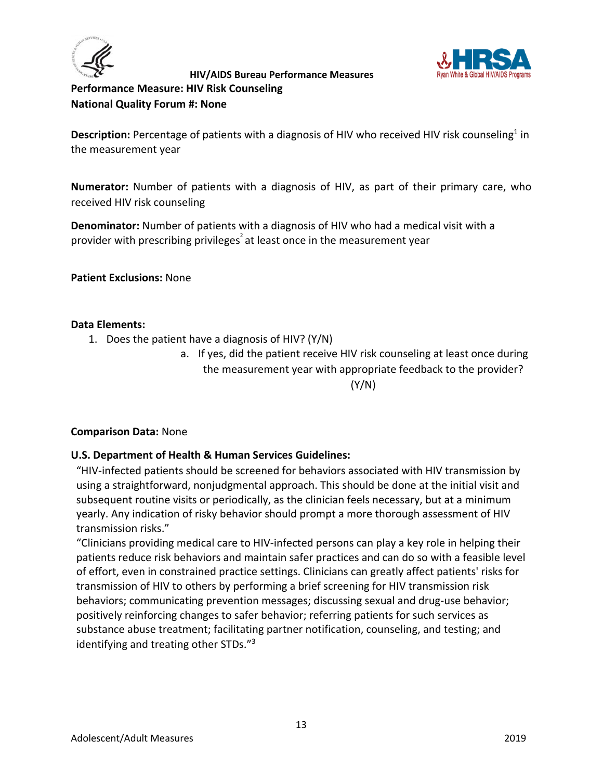



<span id="page-12-0"></span>**Performance Measure: HIV Risk Counseling National Quality Forum #: None**

Description: Percentage of patients with a diagnosis of HIV who received HIV risk counseling<sup>1</sup> in the measurement year

**Numerator:** Number of patients with a diagnosis of HIV, as part of their primary care, who received HIV risk counseling

**Denominator:** Number of patients with a diagnosis of HIV who had a medical visit with a provider with prescribing privileges<sup>2</sup> at least once in the measurement year

**Patient Exclusions:** None

## **Data Elements:**

- 1. Does the patient have a diagnosis of HIV? (Y/N)
	- a. If yes, did the patient receive HIV risk counseling at least once during the measurement year with appropriate feedback to the provider? (Y/N)

## **Comparison Data:** None

## **U.S. Department of Health & Human Services Guidelines:**

"HIV-infected patients should be screened for behaviors associated with HIV transmission by using a straightforward, nonjudgmental approach. This should be done at the initial visit and subsequent routine visits or periodically, as the clinician feels necessary, but at a minimum yearly. Any indication of risky behavior should prompt a more thorough assessment of HIV transmission risks."

"Clinicians providing medical care to HIV-infected persons can play a key role in helping their patients reduce risk behaviors and maintain safer practices and can do so with a feasible level of effort, even in constrained practice settings. Clinicians can greatly affect patients' risks for transmission of HIV to others by performing a brief screening for HIV transmission risk behaviors; communicating prevention messages; discussing sexual and drug-use behavior; positively reinforcing changes to safer behavior; referring patients for such services as substance abuse treatment; facilitating partner notification, counseling, and testing; and identifying and treating other STDs."3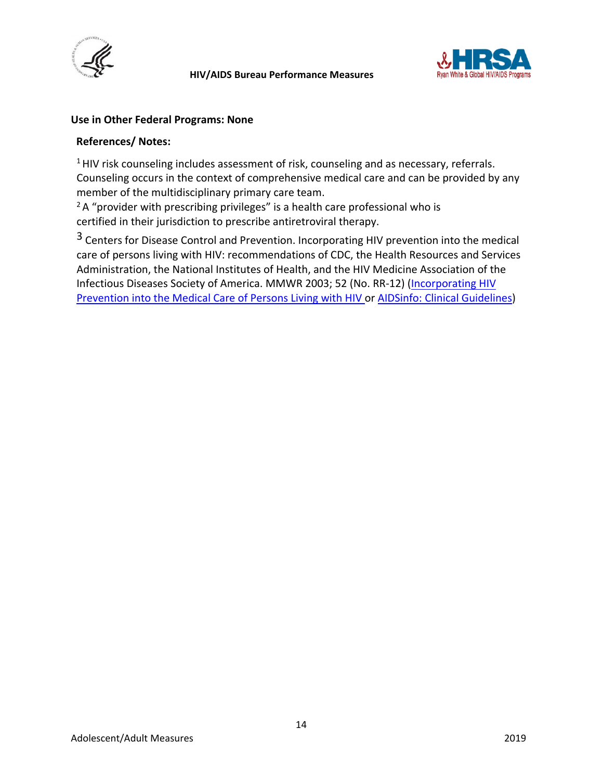



#### **Use in Other Federal Programs: None**

#### **References/ Notes:**

<sup>1</sup> HIV risk counseling includes assessment of risk, counseling and as necessary, referrals. Counseling occurs in the context of comprehensive medical care and can be provided by any member of the multidisciplinary primary care team.

 $2A$  "provider with prescribing privileges" is a health care professional who is certified in their jurisdiction to prescribe antiretroviral therapy.

3 Centers for Disease Control and Prevention. Incorporating HIV prevention into the medical care of persons living with HIV: recommendations of CDC, the Health Resources and Services Administration, the National Institutes of Health, and the HIV Medicine Association of the Infectious Diseases Society of America. MMWR 2003; 52 (No. RR-12) [\(Incorporating HIV](http://www.cdc.gov/mmwr/PDF/rr/rr5212.pdf)  [Prevention into the Medical Care of Persons](http://www.cdc.gov/mmwr/PDF/rr/rr5212.pdf) [Living with HIV o](http://www.cdc.gov/mmwr/PDF/rr/rr5212.pdf)r [AIDSinfo: Clinical Guidelines\)](https://aidsinfo.nih.gov/guidelines)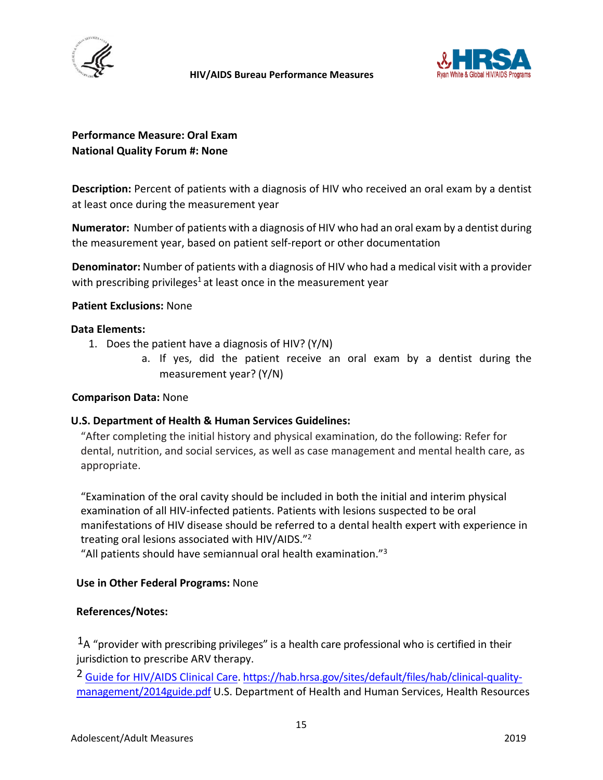



## **Performance Measure: Oral Exam National Quality Forum #: None**

**Description:** Percent of patients with a diagnosis of HIV who received an oral exam by a dentist at least once during the measurement year

**Numerator:** Number of patients with a diagnosis of HIV who had an oral exam by a dentist during the measurement year, based on patient self-report or other documentation

**Denominator:** Number of patients with a diagnosis of HIV who had a medical visit with a provider with prescribing privileges<sup>1</sup> at least once in the measurement year

#### **Patient Exclusions:** None

#### **Data Elements:**

- 1. Does the patient have a diagnosis of HIV? (Y/N)
	- a. If yes, did the patient receive an oral exam by a dentist during the measurement year? (Y/N)

#### **Comparison Data:** None

#### **U.S. Department of Health & Human Services Guidelines:**

"After completing the initial history and physical examination, do the following: Refer for dental, nutrition, and social services, as well as case management and mental health care, as appropriate.

"Examination of the oral cavity should be included in both the initial and interim physical examination of all HIV-infected patients. Patients with lesions suspected to be oral manifestations of HIV disease should be referred to a dental health expert with experience in treating oral lesions associated with HIV/AIDS."2

"All patients should have semiannual oral health examination."3

#### **Use in Other Federal Programs:** None

#### **References/Notes:**

 $<sup>1</sup>A$  "provider with prescribing privileges" is a health care professional who is certified in their</sup> jurisdiction to prescribe ARV therapy.

<sup>2</sup> [Guide for HIV/AIDS Clinical Care.](https://hab.hrsa.gov/sites/default/files/hab/clinical-quality-management/2014guide.pdf) [https://hab.hrsa.gov/sites/default/files/hab/clinical-quality](https://hab.hrsa.gov/sites/default/files/hab/clinical-quality-management/2014guide.pdf)[management/2014guide.pdf](https://hab.hrsa.gov/sites/default/files/hab/clinical-quality-management/2014guide.pdf) U.S. Department of Health and Human Services, Health Resources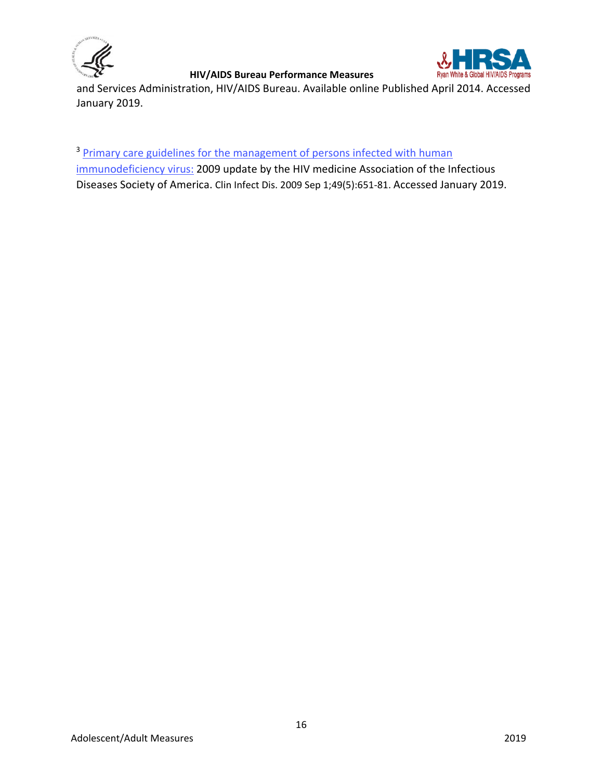



and Services Administration, HIV/AIDS Bureau. Available online Published April 2014. Accessed January 2019.

<sup>3</sup> Primary care guidelines for the management of persons infected with human [immunodeficiency](https://www.ncbi.nlm.nih.gov/pubmed/19640227) virus: 2009 update by the HIV medicine Association of the Infectious Diseases Society of America. Clin Infect Dis. 2009 Sep 1;49(5):651-81. Accessed January 2019.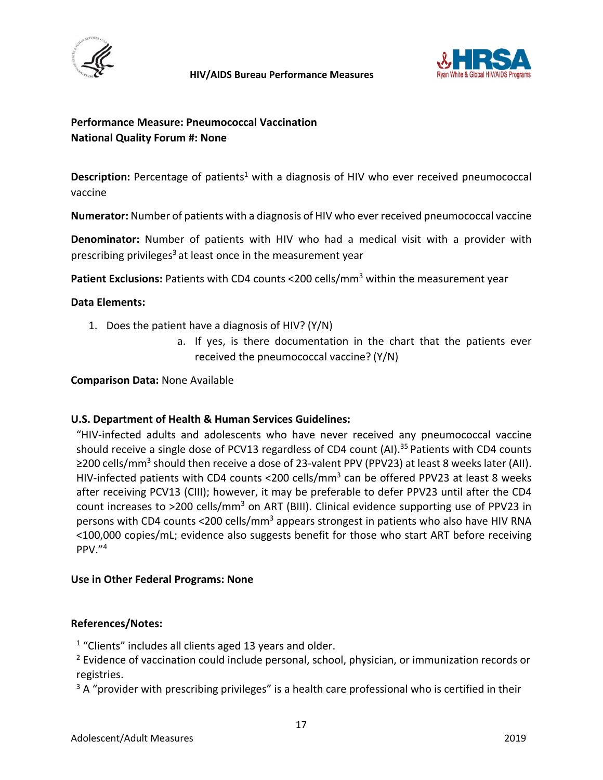



## <span id="page-16-0"></span>**Performance Measure: Pneumococcal Vaccination National Quality Forum #: None**

Description: Percentage of patients<sup>1</sup> with a diagnosis of HIV who ever received pneumococcal vaccine

**Numerator:** Number of patients with a diagnosis of HIV who ever received pneumococcal vaccine

**Denominator:** Number of patients with HIV who had a medical visit with a provider with prescribing privileges<sup>3</sup> at least once in the measurement year

Patient Exclusions: Patients with CD4 counts <200 cells/mm<sup>3</sup> within the measurement year

#### **Data Elements:**

- 1. Does the patient have a diagnosis of HIV? (Y/N)
	- a. If yes, is there documentation in the chart that the patients ever received the pneumococcal vaccine? (Y/N)

**Comparison Data:** None Available

#### **U.S. Department of Health & Human Services Guidelines:**

"HIV-infected adults and adolescents who have never received any pneumococcal vaccine should receive a single dose of PCV13 regardless of CD4 count  $(A)$ .<sup>35</sup> Patients with CD4 counts ≥200 cells/mm<sup>3</sup> should then receive a dose of 23-valent PPV (PPV23) at least 8 weeks later (AII). HIV-infected patients with CD4 counts <200 cells/mm<sup>3</sup> can be offered PPV23 at least 8 weeks after receiving PCV13 (CIII); however, it may be preferable to defer PPV23 until after the CD4 count increases to  $>200$  cells/mm<sup>3</sup> on ART (BIII). Clinical evidence supporting use of PPV23 in persons with CD4 counts <200 cells/mm<sup>3</sup> appears strongest in patients who also have HIV RNA <100,000 copies/mL; evidence also suggests benefit for those who start ART before receiving PPV."4

#### **Use in Other Federal Programs: None**

#### **References/Notes:**

 $1$  "Clients" includes all clients aged 13 years and older.

<sup>2</sup> Evidence of vaccination could include personal, school, physician, or immunization records or registries.

 $3A$  "provider with prescribing privileges" is a health care professional who is certified in their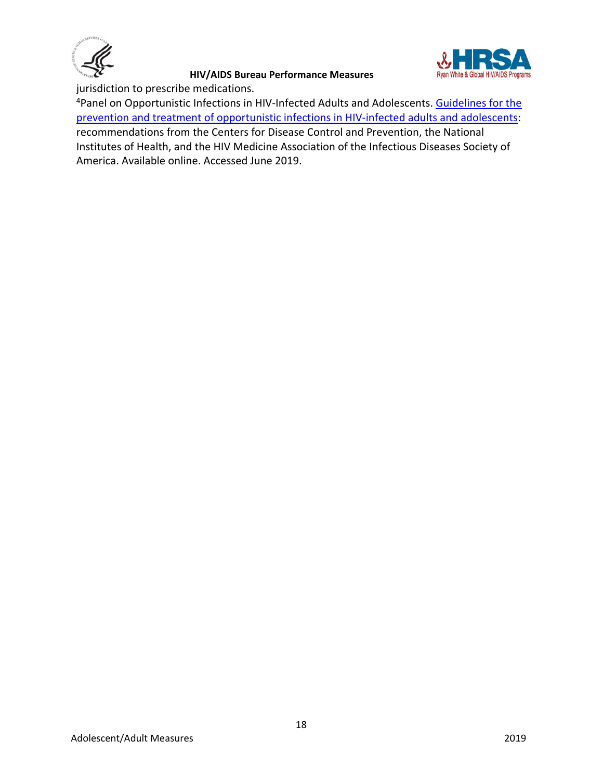



jurisdiction to prescribe medications.

<sup>4</sup>Panel on Opportunistic Infections in HIV-Infected Adults and Adolescents. [Guidelines for the](http://aidsinfo.nih.gov/contentfiles/lvguidelines/adult_oi.pdf) [prevention and treatment of opportunistic infections in HIV-infected adults and adolescents:](http://aidsinfo.nih.gov/contentfiles/lvguidelines/adult_oi.pdf) recommendations from the Centers for Disease Control and Prevention, the National Institutes of Health, and the HIV Medicine Association of the Infectious Diseases Society of America. Available online. Accessed June 2019.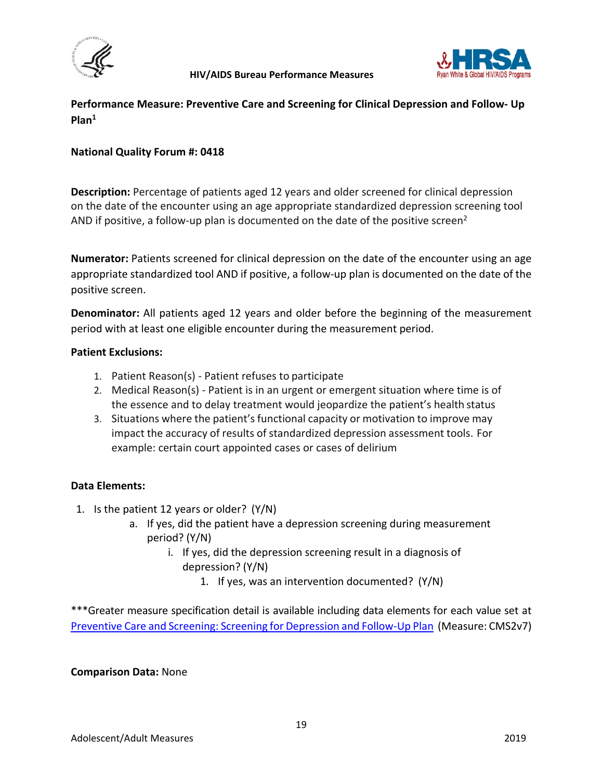



<span id="page-18-0"></span>**Performance Measure: Preventive Care and Screening for Clinical Depression and Follow- Up Plan1**

## **National Quality Forum #: 0418**

**Description:** Percentage of patients aged 12 years and older screened for clinical depression on the date of the encounter using an age appropriate standardized depression screening tool AND if positive, a follow-up plan is documented on the date of the positive screen<sup>2</sup>

**Numerator:** Patients screened for clinical depression on the date of the encounter using an age appropriate standardized tool AND if positive, a follow-up plan is documented on the date of the positive screen.

**Denominator:** All patients aged 12 years and older before the beginning of the measurement period with at least one eligible encounter during the measurement period.

#### **Patient Exclusions:**

- 1. Patient Reason(s) Patient refuses to participate
- 2. Medical Reason(s) Patient is in an urgent or emergent situation where time is of the essence and to delay treatment would jeopardize the patient's health status
- 3. Situations where the patient's functional capacity or motivation to improve may impact the accuracy of results of standardized depression assessment tools. For example: certain court appointed cases or cases of delirium

#### **Data Elements:**

- 1. Is the patient 12 years or older? (Y/N)
	- a. If yes, did the patient have a depression screening during measurement period? (Y/N)
		- i. If yes, did the depression screening result in a diagnosis of depression? (Y/N)
			- 1. If yes, was an intervention documented? (Y/N)

\*\*\*Greater measure specification detail is available including data elements for each value set at [Preventive Care and Screening: Screening for Depression and Follow-Up Plan](https://ecqi.healthit.gov/ecqm/ep/2018/cms002v7) (Measure: CMS2v7)

#### **Comparison Data:** None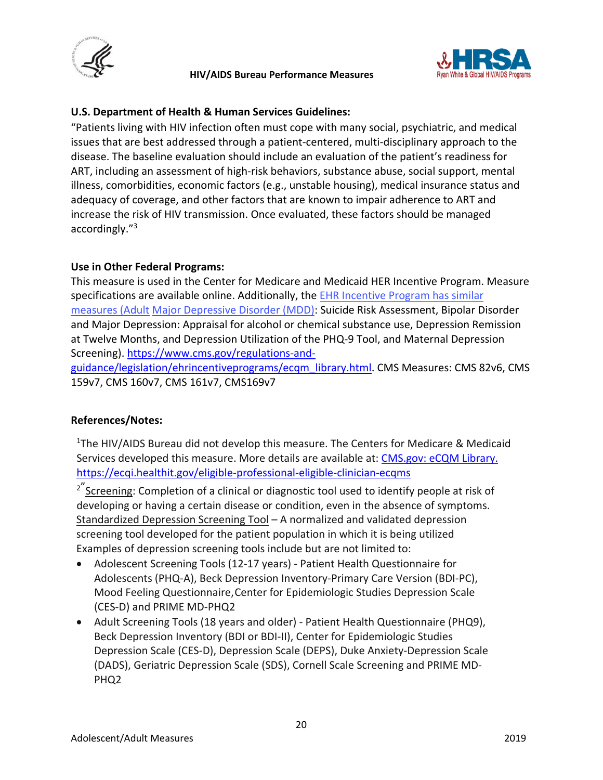



## **U.S. Department of Health & Human Services Guidelines:**

"Patients living with HIV infection often must cope with many social, psychiatric, and medical issues that are best addressed through a patient-centered, multi-disciplinary approach to the disease. The baseline evaluation should include an evaluation of the patient's readiness for ART, including an assessment of high-risk behaviors, substance abuse, social support, mental illness, comorbidities, economic factors (e.g., unstable housing), medical insurance status and adequacy of coverage, and other factors that are known to impair adherence to ART and increase the risk of HIV transmission. Once evaluated, these factors should be managed accordingly."3

## **Use in Other Federal Programs:**

This measure is used in the Center for Medicare and Medicaid HER Incentive Program. Measure specifications are available online. Additionally, the [EHR Incentive Program has similar](https://www.cms.gov/regulations-and-guidance/legislation/ehrincentiveprograms/ecqm_library.html)  [measures \(Adult](https://www.cms.gov/regulations-and-guidance/legislation/ehrincentiveprograms/ecqm_library.html) [Major Depressive Disorder \(MDD\): Suicide Risk Assessment, Bi](https://www.cms.gov/regulations-and-guidance/legislation/ehrincentiveprograms/ecqm_library.html)polar Disorder and Major Depression: Appraisal for alcohol or chemical substance use, Depression Remission at Twelve Months, and Depression Utilization of the PHQ-9 Tool, and Maternal Depression Screening). [https://www.cms.gov/regulations-and-](https://www.cms.gov/regulations-and-guidance/legislation/ehrincentiveprograms/ecqm_library.html)

[guidance/legislation/ehrincentiveprograms/ecqm\\_library.html.](https://www.cms.gov/regulations-and-guidance/legislation/ehrincentiveprograms/ecqm_library.html) CMS Measures: CMS 82v6, CMS 159v7, CMS 160v7, CMS 161v7, CMS169v7

## **References/Notes:**

<sup>1</sup>The HIV/AIDS Bureau did not develop this measure. The Centers for Medicare & Medicaid Services developed this measure. More details are available at: [CMS.gov: eCQM Library.](https://www.cms.gov/regulations-and-guidance/legislation/ehrincentiveprograms/ecqm_library.html) <https://ecqi.healthit.gov/eligible-professional-eligible-clinician-ecqms>

<sup>2"</sup>Screening: Completion of a clinical or diagnostic tool used to identify people at risk of developing or having a certain disease or condition, even in the absence of symptoms. Standardized Depression Screening Tool - A normalized and validated depression screening tool developed for the patient population in which it is being utilized Examples of depression screening tools include but are not limited to:

- Adolescent Screening Tools (12-17 years) Patient Health Questionnaire for Adolescents (PHQ-A), Beck Depression Inventory-Primary Care Version (BDI-PC), Mood Feeling Questionnaire,Center for Epidemiologic Studies Depression Scale (CES-D) and PRIME MD-PHQ2
- Adult Screening Tools (18 years and older) Patient Health Questionnaire (PHQ9), Beck Depression Inventory (BDI or BDI-II), Center for Epidemiologic Studies Depression Scale (CES-D), Depression Scale (DEPS), Duke Anxiety-Depression Scale (DADS), Geriatric Depression Scale (SDS), Cornell Scale Screening and PRIME MD-PHQ2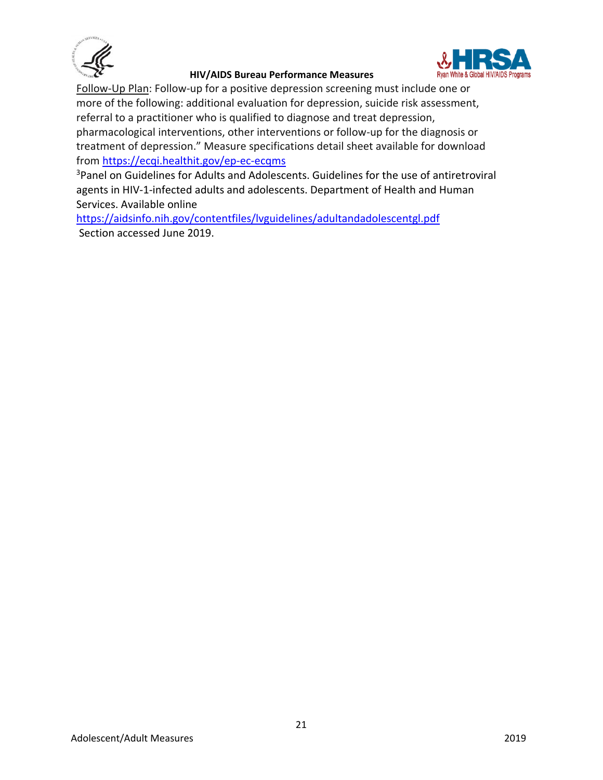



Follow-Up Plan: Follow-up for a positive depression screening must include one or more of the following: additional evaluation for depression, suicide risk assessment, referral to a practitioner who is qualified to diagnose and treat depression, pharmacological interventions, other interventions or follow-up for the diagnosis or treatment of depression." Measure specifications detail sheet available for download from<https://ecqi.healthit.gov/ep-ec-ecqms>

<sup>3</sup>Panel on [Guidelines for Adults and Adolescents. Guidelines for the use of](http://aidsinfo.nih.gov/ContentFiles/Adultand) antiretroviral [agents in HIV-1-infected adults and adolescents](http://aidsinfo.nih.gov/ContentFiles/Adultand) . Department of Health and Human Services. Available online

<https://aidsinfo.nih.gov/contentfiles/lvguidelines/adultandadolescentgl.pdf> Section accessed June 2019.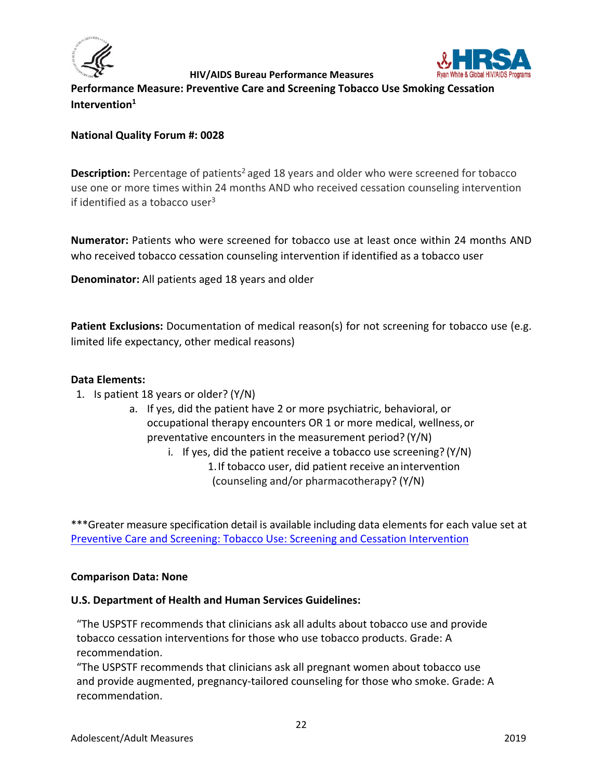



<span id="page-21-0"></span>**Performance Measure: Preventive Care and Screening Tobacco Use Smoking Cessation Intervention1**

## **National Quality Forum #: 0028**

Description: Percentage of patients<sup>2</sup> aged 18 years and older who were screened for tobacco use one or more times within 24 months AND who received cessation counseling intervention if identified as a tobacco user $3$ 

**Numerator:** Patients who were screened for tobacco use at least once within 24 months AND who received tobacco cessation counseling intervention if identified as a tobacco user

**Denominator:** All patients aged 18 years and older

**Patient Exclusions:** Documentation of medical reason(s) for not screening for tobacco use (e.g. limited life expectancy, other medical reasons)

#### **Data Elements:**

- 1. Is patient 18 years or older? (Y/N)
	- a. If yes, did the patient have 2 or more psychiatric, behavioral, or occupational therapy encounters OR 1 or more medical, wellness,or preventative encounters in the measurement period? (Y/N)

i. If yes, did the patient receive a tobacco use screening? (Y/N) 1.If tobacco user, did patient receive an intervention (counseling and/or pharmacotherapy? (Y/N)

\*\*\*Greater measure specification detail is available including data elements for each value set at [Preventive Care and Screening: Tobacco Use: Screening and Cessation Intervention](https://ecqi.healthit.gov/ecqm/ep/2019/cms138v7)

#### **Comparison Data: None**

#### **U.S. Department of Health and Human Services Guidelines:**

"The USPSTF recommends that clinicians ask all adults about tobacco use and provide tobacco cessation interventions for those who use tobacco products. Grade: A recommendation.

"The USPSTF recommends that clinicians ask all pregnant women about tobacco use and provide augmented, pregnancy-tailored counseling for those who smoke. Grade: A recommendation.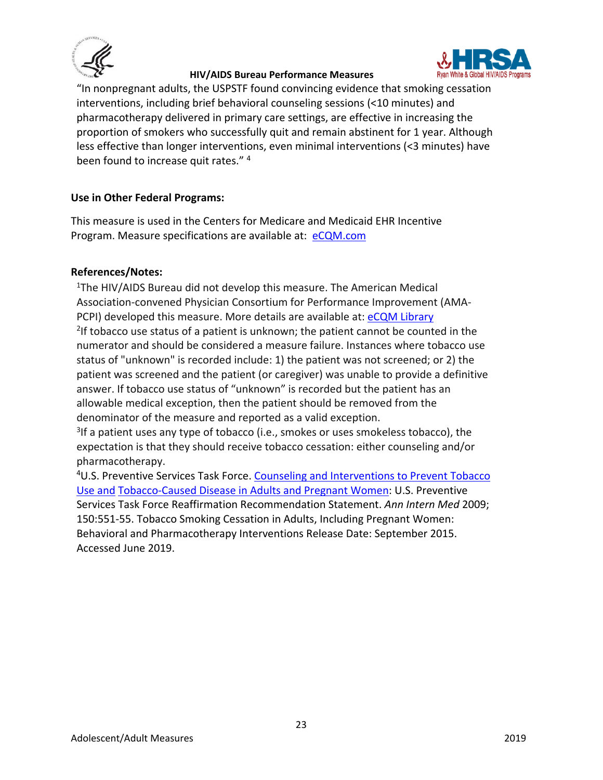



"In nonpregnant adults, the USPSTF found convincing evidence that smoking cessation interventions, including brief behavioral counseling sessions (<10 minutes) and pharmacotherapy delivered in primary care settings, are effective in increasing the proportion of smokers who successfully quit and remain abstinent for 1 year. Although less effective than longer interventions, even minimal interventions (<3 minutes) have been found to increase quit rates."<sup>4</sup>

## **Use in Other Federal Programs:**

This measure is used in the Centers for Medicare and Medicaid EHR Incentive Program. Measure specifications are available at: [eCQM.com](https://www.cms.gov/regulations-and-guidance/legislation/ehrincentiveprograms/ecqm_library.html)

## **References/Notes:**

<sup>1</sup>The HIV/AIDS Bureau did not develop this measure. The American Medical Association-convened Physician Consortium for Performance Improvement (AMA-PCPI) developed this measure. More details are available at: [eCQM Library](https://www.cms.gov/regulations-and-guidance/legislation/ehrincentiveprograms/ecqm_library.html)  $^{2}$ If tobacco use status of a patient is unknown; the patient cannot be counted in the numerator and should be considered a measure failure. Instances where tobacco use status of "unknown" is recorded include: 1) the patient was not screened; or 2) the patient was screened and the patient (or caregiver) was unable to provide a definitive answer. If tobacco use status of "unknown" is recorded but the patient has an allowable medical exception, then the patient should be removed from the denominator of the measure and reported as a valid exception.

<sup>3</sup>If a patient uses any type of tobacco (i.e., smokes or uses smokeless tobacco), the expectation is that they should receive tobacco cessation: either counseling and/or pharmacotherapy.

<sup>4</sup>U.S. Preventive Services Task Force. Counseling and Interventions to Prevent Tobacco [Use and](https://www.uspreventiveservicestaskforce.org/Page/Document/RecommendationStatementFinal/tobacco-use-in-adults-and-pregnant-women-counseling-and-interventions1) [Tobacco-Caused Disease in Adults and Pregnant Women:](https://www.uspreventiveservicestaskforce.org/Page/Document/RecommendationStatementFinal/tobacco-use-in-adults-and-pregnant-women-counseling-and-interventions1) U.S. Preventive Services Task Force Reaffirmation Recommendation Statement. *Ann Intern Med* 2009; 150:551-55. Tobacco Smoking Cessation in Adults, Including Pregnant Women: Behavioral and Pharmacotherapy Interventions Release Date: September 2015. Accessed June 2019.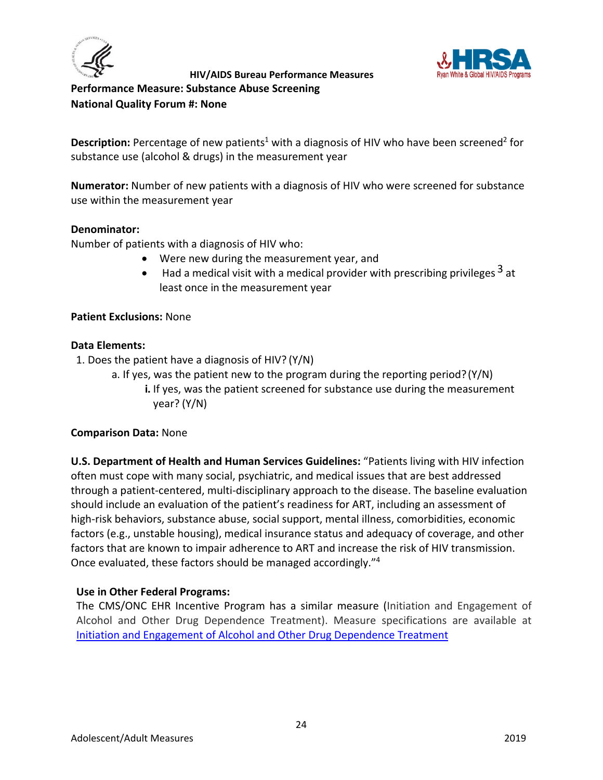



<span id="page-23-0"></span>**Performance Measure: Substance Abuse Screening National Quality Forum #: None**

**Description:** Percentage of new patients<sup>1</sup> with a diagnosis of HIV who have been screened<sup>2</sup> for substance use (alcohol & drugs) in the measurement year

**Numerator:** Number of new patients with a diagnosis of HIV who were screened for substance use within the measurement year

## **Denominator:**

Number of patients with a diagnosis of HIV who:

- Were new during the measurement year, and
- Had a medical visit with a medical provider with prescribing privileges  $3$  at least once in the measurement year

## **Patient Exclusions:** None

#### **Data Elements:**

1. Does the patient have a diagnosis of HIV? (Y/N)

- a. If yes, was the patient new to the program during the reporting period?(Y/N)
	- **i.** If yes, was the patient screened for substance use during the measurement year? (Y/N)

## **Comparison Data:** None

**U.S. Department of Health and Human Services Guidelines:** "Patients living with HIV infection often must cope with many social, psychiatric, and medical issues that are best addressed through a patient-centered, multi-disciplinary approach to the disease. The baseline evaluation should include an evaluation of the patient's readiness for ART, including an assessment of high-risk behaviors, substance abuse, social support, mental illness, comorbidities, economic factors (e.g., unstable housing), medical insurance status and adequacy of coverage, and other factors that are known to impair adherence to ART and increase the risk of HIV transmission. Once evaluated, these factors should be managed accordingly."4

## **Use in Other Federal Programs:**

The CMS/ONC EHR Incentive Program has a similar measure (Initiation and Engagement of Alcohol and Other Drug Dependence Treatment). Measure specifications are available at [Initiation and Engagement of Alcohol and Other Drug Dependence Treatment](https://ecqi.healthit.gov/ecqm/ep/2019/cms137v7)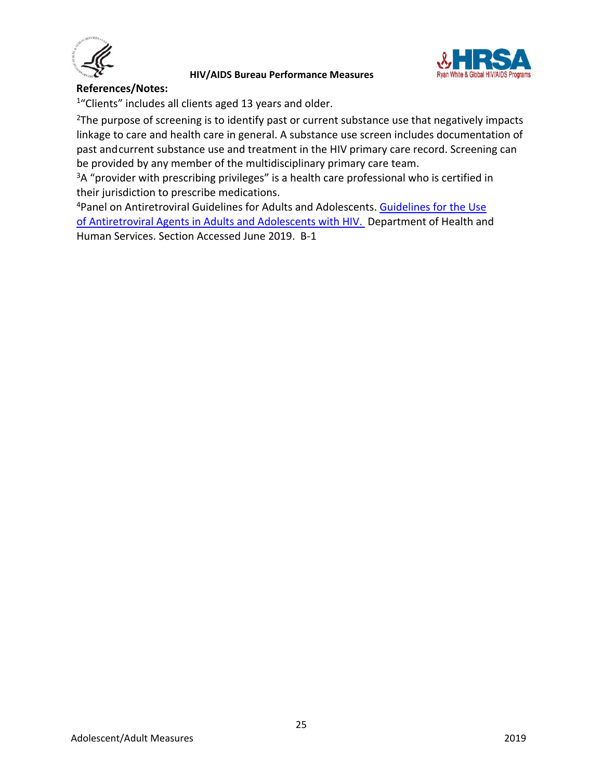



#### **References/Notes:**

<sup>1</sup>"Clients" includes all clients aged 13 years and older.

<sup>2</sup>The purpose of screening is to identify past or current substance use that negatively impacts linkage to care and health care in general. A substance use screen includes documentation of past andcurrent substance use and treatment in the HIV primary care record. Screening can be provided by any member of the multidisciplinary primary care team.

<sup>3</sup>A "provider with prescribing privileges" is a health care professional who is certified in their jurisdiction to prescribe medications.

<sup>4</sup> Panel on Antiretroviral Guidelines for Adults and Adolescents. Guidelines for the Use [of Antiretroviral Agents in Adults and Adolescents with HIV.](https://aidsinfo.nih.gov/contentfiles/lvguidelines/adultandadolescentgl.pdf) Department of Health and Human Services. Section Accessed June 2019. B-1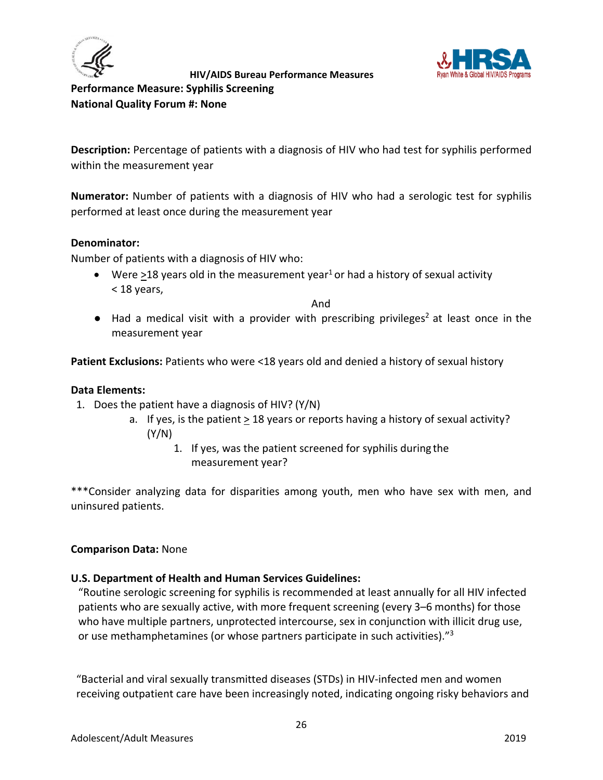



<span id="page-25-0"></span>**Performance Measure: Syphilis Screening National Quality Forum #: None**

**Description:** Percentage of patients with a diagnosis of HIV who had test for syphilis performed within the measurement year

**Numerator:** Number of patients with a diagnosis of HIV who had a serologic test for syphilis performed at least once during the measurement year

#### **Denominator:**

Number of patients with a diagnosis of HIV who:

• Were >18 years old in the measurement year<sup>1</sup> or had a history of sexual activity < 18 years,

And

 $\bullet$  Had a medical visit with a provider with prescribing privileges<sup>2</sup> at least once in the measurement year

**Patient Exclusions:** Patients who were <18 years old and denied a history of sexual history

#### **Data Elements:**

- 1. Does the patient have a diagnosis of HIV? (Y/N)
	- a. If yes, is the patient  $\geq 18$  years or reports having a history of sexual activity? (Y/N)
		- 1. If yes, was the patient screened for syphilis during the measurement year?

\*\*\*Consider analyzing data for disparities among youth, men who have sex with men, and uninsured patients.

#### **Comparison Data:** None

#### **U.S. Department of Health and Human Services Guidelines:**

"Routine serologic screening for syphilis is recommended at least annually for all HIV infected patients who are sexually active, with more frequent screening (every 3–6 months) for those who have multiple partners, unprotected intercourse, sex in conjunction with illicit drug use, or use methamphetamines (or whose partners participate in such activities)."3

"Bacterial and viral sexually transmitted diseases (STDs) in HIV-infected men and women receiving outpatient care have been increasingly noted, indicating ongoing risky behaviors and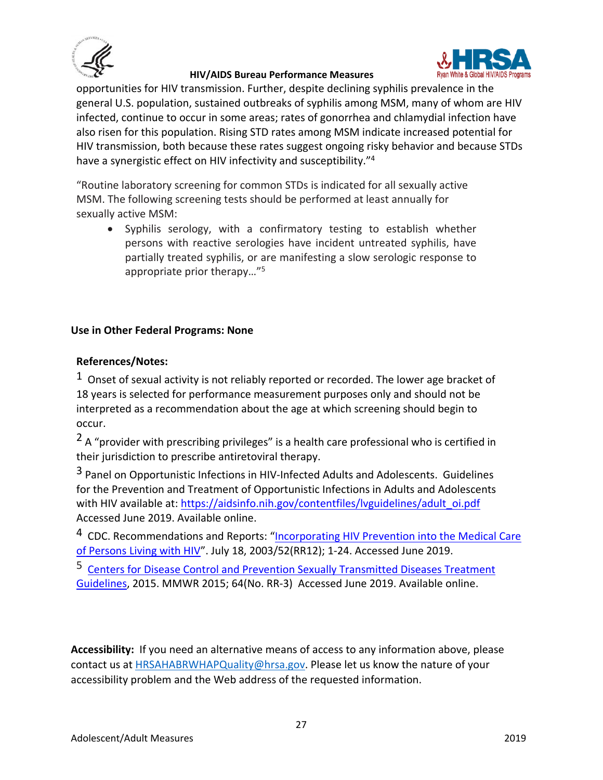



opportunities for HIV transmission. Further, despite declining syphilis prevalence in the general U.S. population, sustained outbreaks of syphilis among MSM, many of whom are HIV infected, continue to occur in some areas; rates of gonorrhea and chlamydial infection have also risen for this population. Rising STD rates among MSM indicate increased potential for HIV transmission, both because these rates suggest ongoing risky behavior and because STDs have a synergistic effect on HIV infectivity and susceptibility."4

"Routine laboratory screening for common STDs is indicated for all sexually active MSM. The following screening tests should be performed at least annually for sexually active MSM:

• Syphilis serology, with a confirmatory testing to establish whether persons with reactive serologies have incident untreated syphilis, have partially treated syphilis, or are manifesting a slow serologic response to appropriate prior therapy…"5

## **Use in Other Federal Programs: None**

#### **References/Notes:**

 $1$  Onset of sexual activity is not reliably reported or recorded. The lower age bracket of 18 years is selected for performance measurement purposes only and should not be interpreted as a recommendation about the age at which screening should begin to occur.

 $2A$  "provider with prescribing privileges" is a health care professional who is certified in their jurisdiction to prescribe antiretoviral therapy.

<sup>3</sup> Panel on Opportunistic Infections in HIV-Infected Adults and Adolescents. Guidelines for the Prevention and Treatment of Opportunistic Infections in Adults and Adolescents with HIV available at: [https://aidsinfo.nih.gov/contentfiles/lvguidelines/adult\\_oi.pdf](https://aidsinfo.nih.gov/contentfiles/lvguidelines/adult_oi.pdf) Accessed June 2019. Available online.

<sup>4</sup> CDC. Recommendations and Reports: "Incorporating HIV Prevention into the Medical Care [of Persons Living with HIV"](http://www.cdc.gov/mmwr/preview/mmwrhtml/rr5212a1.htm). July 18, 2003/52(RR12); 1-24. Accessed June 2019.

5 [Centers for Disease Control and Prevention Sexually Transmitted Diseases Treatment](https://www.cdc.gov/std/tg2015/)  [Guidelines,](https://www.cdc.gov/std/tg2015/) 2015. MMWR 2015; 64(No. RR-3) Accessed June 2019. Available online.

**Accessibility:** If you need an alternative means of access to any information above, please contact us at [HRSAHABRWHAPQuality@hrsa.gov.](mailto:HRSAHABRWHAPQuality@hrsa.gov) Please let us know the nature of your accessibility problem and the Web address of the requested information.